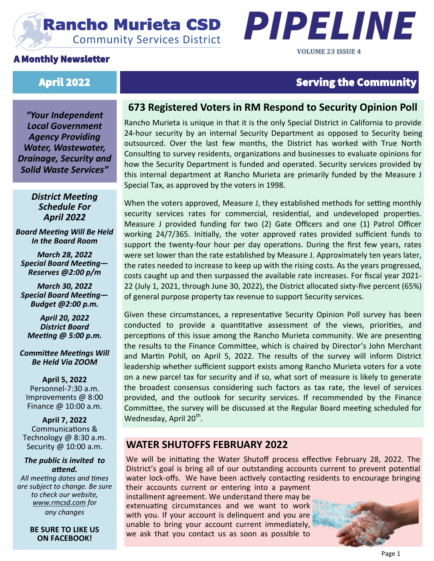### **Rancho Murieta CSD Community Services District**

#### A Monthly Newsletter



## **PIPELINE VOLUME 23 ISSUE 4**

#### April 2022 Serving the Community

*"Your Independent Local Government Agency Providing Water, Wastewater, Drainage, Security and Solid Waste Services"*

> *District Meeting Schedule For April 2022*

*Board Meeting Will Be Held In the Board Room* 

*March 28, 2022 Special Board Meeting— Reserves @2:00 p/m*

*March 30, 2022 Special Board Meeting— Budget @2:00 p.m.*

*April 20, 2022 District Board Meeting @ 5:00 p.m.*

*Committee Meetings Will Be Held Via ZOOM*

**April 5, 2022** Personnel-7:30 a.m. Improvements @ 8:00 Finance @ 10:00 a.m.

**April 7, 2022** Communications & Technology @ 8:30 a.m. Security @ 10:00 a.m.

*The public is invited to attend. All meeting dates and times* 

*are subject to change. Be sure to check our website, [www.rmcsd.com](http://www.rmcsd.com) for any changes*

> **BE SURE TO LIKE US ON FACEBOOK!**

#### **673 Registered Voters in RM Respond to Security Opinion Poll**

Rancho Murieta is unique in that it is the only Special District in California to provide 24-hour security by an internal Security Department as opposed to Security being outsourced. Over the last few months, the District has worked with True North Consulting to survey residents, organizations and businesses to evaluate opinions for how the Security Department is funded and operated. Security services provided by this internal department at Rancho Murieta are primarily funded by the Measure J Special Tax, as approved by the voters in 1998.

When the voters approved, Measure J, they established methods for setting monthly security services rates for commercial, residential, and undeveloped properties. Measure J provided funding for two (2) Gate Officers and one (1) Patrol Officer working 24/7/365. Initially, the voter approved rates provided sufficient funds to support the twenty-four hour per day operations. During the first few years, rates were set lower than the rate established by Measure J. Approximately ten years later, the rates needed to increase to keep up with the rising costs. As the years progressed, costs caught up and then surpassed the available rate increases. For fiscal year 2021- 22 (July 1, 2021, through June 30, 2022), the District allocated sixty-five percent (65%) of general purpose property tax revenue to support Security services.

Given these circumstances, a representative Security Opinion Poll survey has been conducted to provide a quantitative assessment of the views, priorities, and perceptions of this issue among the Rancho Murieta community. We are presenting the results to the Finance Committee, which is chaired by Director's John Merchant and Martin Pohll, on April 5, 2022. The results of the survey will inform District leadership whether sufficient support exists among Rancho Murieta voters for a vote on a new parcel tax for security and if so, what sort of measure is likely to generate the broadest consensus considering such factors as tax rate, the level of services provided, and the outlook for security services. If recommended by the Finance Committee, the survey will be discussed at the Regular Board meeting scheduled for Wednesday, April 20<sup>th</sup>.

#### **WATER SHUTOFFS FEBRUARY 2022**

We will be initiating the Water Shutoff process effective February 28, 2022. The District's goal is bring all of our outstanding accounts current to prevent potential water lock-offs. We have been actively contacting residents to encourage bringing their accounts current or entering into a payment

installment agreement. We understand there may be extenuating circumstances and we want to work with you. If your account is delinguent and you are unable to bring your account current immediately, we ask that you contact us as soon as possible to

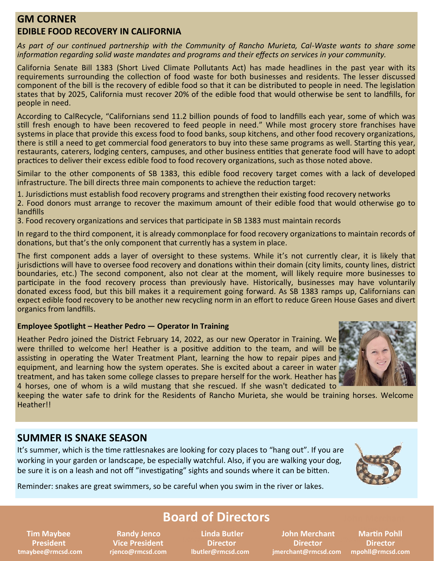#### **GM CORNER EDIBLE FOOD RECOVERY IN CALIFORNIA**

*As part of our continued partnership with the Community of Rancho Murieta, Cal-Waste wants to share some information regarding solid waste mandates and programs and their effects on services in your community.* 

California Senate Bill 1383 (Short Lived Climate Pollutants Act) has made headlines in the past year with its requirements surrounding the collection of food waste for both businesses and residents. The lesser discussed component of the bill is the recovery of edible food so that it can be distributed to people in need. The legislation states that by 2025, California must recover 20% of the edible food that would otherwise be sent to landfills, for people in need.

According to CalRecycle, "Californians send 11.2 billion pounds of food to landfills each year, some of which was still fresh enough to have been recovered to feed people in need." While most grocery store franchises have systems in place that provide this excess food to food banks, soup kitchens, and other food recovery organizations, there is still a need to get commercial food generators to buy into these same programs as well. Starting this year, restaurants, caterers, lodging centers, campuses, and other business entities that generate food will have to adopt practices to deliver their excess edible food to food recovery organizations, such as those noted above.

Similar to the other components of SB 1383, this edible food recovery target comes with a lack of developed infrastructure. The bill directs three main components to achieve the reduction target:

1. Jurisdictions must establish food recovery programs and strengthen their existing food recovery networks

2. Food donors must arrange to recover the maximum amount of their edible food that would otherwise go to landfills

3. Food recovery organizations and services that participate in SB 1383 must maintain records

In regard to the third component, it is already commonplace for food recovery organizations to maintain records of donations, but that's the only component that currently has a system in place.

The first component adds a layer of oversight to these systems. While it's not currently clear, it is likely that jurisdictions will have to oversee food recovery and donations within their domain (city limits, county lines, district boundaries, etc.) The second component, also not clear at the moment, will likely require more businesses to participate in the food recovery process than previously have. Historically, businesses may have voluntarily donated excess food, but this bill makes it a requirement going forward. As SB 1383 ramps up, Californians can expect edible food recovery to be another new recycling norm in an effort to reduce Green House Gases and divert organics from landfills.

#### **Employee Spotlight – Heather Pedro — Operator In Training**

Heather Pedro joined the District February 14, 2022, as our new Operator in Training. We were thrilled to welcome her! Heather is a positive addition to the team, and will be assisting in operating the Water Treatment Plant, learning the how to repair pipes and equipment, and learning how the system operates. She is excited about a career in water treatment, and has taken some college classes to prepare herself for the work. Heather has 4 horses, one of whom is a wild mustang that she rescued. If she wasn't dedicated to



keeping the water safe to drink for the Residents of Rancho Murieta, she would be training horses. Welcome Heather!!

#### **SUMMER IS SNAKE SEASON**

It's summer, which is the time rattlesnakes are looking for cozy places to "hang out". If you are working in your garden or landscape, be especially watchful. Also, if you are walking your dog, be sure it is on a leash and not off "investigating" sights and sounds where it can be bitten.



Reminder: snakes are great swimmers, so be careful when you swim in the river or lakes.

#### **Board of Directors**

**Linda Butler Director** 

 **Tim Maybee Conney Standy Jenco Linda Butler and Merchant President Conney Conney Conney Conney Conney President**<br> **Martin President Conney Artic President Conney Conney Conney Conney Conney Conney Conney Conney Conney Co President Vice President Director Director Director tmaybee@rmcsd.com rjenco@rmcsd.com lbutler@rmcsd.com jmerchant@rmcsd.com mpohll@rmcsd.com**

**Martin Pohll Director**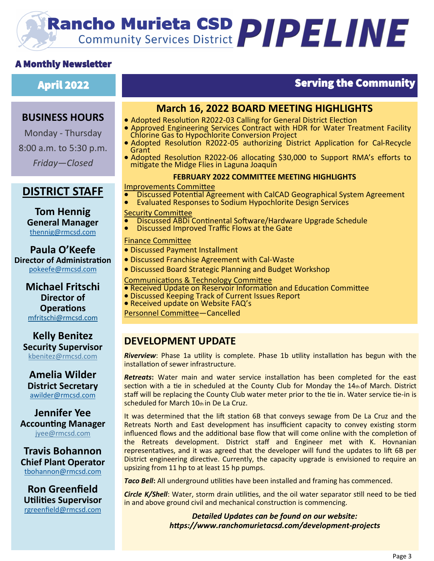# **Rancho Murieta CSD PIPELINE**

#### A Monthly Newsletter

#### April 2022 Serving the Community

#### **BUSINESS HOURS**

Monday - Thursday 8:00 a.m. to 5:30 p.m. *Friday—Closed*

#### **DISTRICT STAFF**

**Tom Hennig General Manager** [thennig@rmcsd.com](mailto:thennig@rmcsd.com)

**Paula O'Keefe Director of Administration** pokeefe@rmcsd.com

**Michael Fritschi Director of Operations** mfritschi@rmcsd.com

**Kelly Benitez Security Supervisor** kbenitez@rmcsd.com

**Amelia Wilder District Secretary** [awilder@rmcsd.com](mailto:jwerblun@rmcsd.com)

**Jennifer Yee Accounting Manager** jyee@rmcsd.com

**Travis Bohannon Chief Plant Operator** [tbohannon@rmcsd.com](mailto:tbohannon@rmcsd.com)

**Ron Greenfield Utilities Supervisor** [rgreenfield@rmcsd.com](mailto:tbohannon@rmcsd.com)

#### **March 16, 2022 BOARD MEETING HIGHLIGHTS**

- Adopted Resolution R2022-03 Calling for General District Election
- Approved Engineering Services Contract with HDR for Water Treatment Facility Chlorine Gas to Hypochlorite Conversion Project
- Adopted Resolution R2022-05 authorizing District Application for Cal-Recycle **Grant**
- Adopted Resolution R2022-06 allocating \$30,000 to Support RMA's efforts to mitigate the Midge Flies in Laguna Joaquin

#### **FEBRUARY 2022 COMMITTEE MEETING HIGHLIGHTS**

#### Improvements Committee

- Discussed Potential Agreement with CalCAD Geographical System Agreement
	- Evaluated Responses to Sodium Hypochlorite Design Services

#### Security Committee

- **EDITE: CONTERCTS**<br>Discussed ABDi Continental Software/Hardware Upgrade Schedule  $\bullet$ 
	- Discussed Improved Traffic Flows at the Gate

#### Finance Committee

- Discussed Payment Installment
- Discussed Franchise Agreement with Cal-Waste
- Discussed Board Strategic Planning and Budget Workshop

Communications & Technology Committee

- Received Update on Reservoir Information and Education Committee
- Discussed Keeping Track of Current Issues Report
- Received update on Website FAQ's

Personnel Committee—Cancelled

#### **DEVELOPMENT UPDATE**

*Riverview*: Phase 1a utility is complete. Phase 1b utility installation has begun with the installation of sewer infrastructure.

*Retreats***:** Water main and water service installation has been completed for the east section with a tie in scheduled at the County Club for Monday the  $14<sub>th</sub>$  of March. District staff will be replacing the County Club water meter prior to the tie in. Water service tie-in is scheduled for March 10th in De La Cruz.

It was determined that the lift station 6B that conveys sewage from De La Cruz and the Retreats North and East development has insufficient capacity to convey existing storm influenced flows and the additional base flow that will come online with the completion of the Retreats development. District staff and Engineer met with K. Hovnanian representatives, and it was agreed that the developer will fund the updates to lift 6B per District engineering directive. Currently, the capacity upgrade is envisioned to require an upsizing from 11 hp to at least 15 hp pumps.

*Taco Bell*: All underground utilities have been installed and framing has commenced.

*Circle K/Shell*: Water, storm drain utilities, and the oil water separator still need to be tied in and above ground civil and mechanical construction is commencing.

> *Detailed Updates can be found on our website: https://www.ranchomurietacsd.com/development-projects*